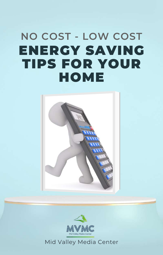# **NO COST - LOW COST** ENERGY SAVING TIPS FOR YOUR HOME





Mid Valley Media Center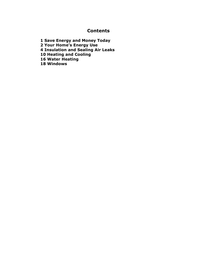## **Contents**

**1 Save Energy and Money Today**

**2 Your Home's Energy Use**

**4 Insulation and Sealing Air Leaks**

**10 Heating and Cooling**

**16 Water Heating**

**18 Windows**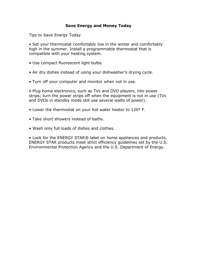## **Save Energy and Money Today**

Tips to Save Energy Today

• Set your thermostat comfortably low in the winter and comfortably high in the summer. Install a programmable thermostat that is compatible with your heating system.

- Use compact fluorescent light bulbs.
- Air dry dishes instead of using your dishwasher's drying cycle.
- Turn off your computer and monitor when not in use.

• Plug home electronics, such as TVs and DVD players, into power strips; turn the power strips off when the equipment is not in use (TVs and DVDs in standby mode still use several watts of power).

- Lower the thermostat on your hot water heater to 120° F.
- Take short showers instead of baths.
- Wash only full loads of dishes and clothes.

• Look for the ENERGY STAR® label on home appliances and products. ENERGY STAR products meet strict efficiency guidelines set by the U.S. Environmental Protection Agency and the U.S. Department of Energy.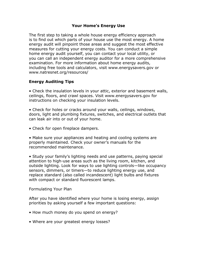## **Your Home's Energy Use**

The first step to taking a whole house energy efficiency approach is to find out which parts of your house use the most energy. A home energy audit will pinpoint those areas and suggest the most effective measures for cutting your energy costs. You can conduct a simple home energy audit yourself, you can contact your local utility, or you can call an independent energy auditor for a more comprehensive examination. For more information about home energy audits, including free tools and calculators, visit www.energysavers.gov or www.natresnet.org/resources/

## **Energy Auditing Tips**

• Check the insulation levels in your attic, exterior and basement walls, ceilings, floors, and crawl spaces. Visit www.energysavers.gov for instructions on checking your insulation levels.

• Check for holes or cracks around your walls, ceilings, windows, doors, light and plumbing fixtures, switches, and electrical outlets that can leak air into or out of your home.

• Check for open fireplace dampers.

• Make sure your appliances and heating and cooling systems are properly maintained. Check your owner's manuals for the recommended maintenance.

• Study your family's lighting needs and use patterns, paying special attention to high-use areas such as the living room, kitchen, and outside lighting. Look for ways to use lighting controls—like occupancy sensors, dimmers, or timers—to reduce lighting energy use, and replace standard (also called incandescent) light bulbs and fixtures with compact or standard fluorescent lamps.

#### Formulating Your Plan

After you have identified where your home is losing energy, assign priorities by asking yourself a few important questions:

- How much money do you spend on energy?
- Where are your greatest energy losses?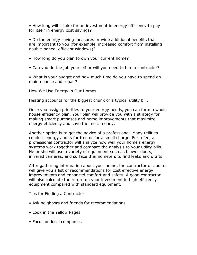• How long will it take for an investment in energy efficiency to pay for itself in energy cost savings?

• Do the energy saving measures provide additional benefits that are important to you (for example, increased comfort from installing double-paned, efficient windows)?

- How long do you plan to own your current home?
- Can you do the job yourself or will you need to hire a contractor?

• What is your budget and how much time do you have to spend on maintenance and repair?

How We Use Energy in Our Homes

Heating accounts for the biggest chunk of a typical utility bill.

Once you assign priorities to your energy needs, you can form a whole house efficiency plan. Your plan will provide you with a strategy for making smart purchases and home improvements that maximize energy efficiency and save the most money.

Another option is to get the advice of a professional. Many utilities conduct energy audits for free or for a small charge. For a fee, a professional contractor will analyze how well your home's energy systems work together and compare the analysis to your utility bills. He or she will use a variety of equipment such as blower doors, infrared cameras, and surface thermometers to find leaks and drafts.

After gathering information about your home, the contractor or auditor will give you a list of recommendations for cost effective energy improvements and enhanced comfort and safety. A good contractor will also calculate the return on your investment in high efficiency equipment compared with standard equipment.

Tips for Finding a Contractor

- Ask neighbors and friends for recommendations
- Look in the Yellow Pages
- Focus on local companies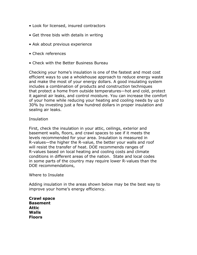- Look for licensed, insured contractors
- Get three bids with details in writing
- Ask about previous experience
- Check references
- Check with the Better Business Bureau

Checking your home's insulation is one of the fastest and most cost efficient ways to use a wholehouse approach to reduce energy waste and make the most of your energy dollars. A good insulating system includes a combination of products and construction techniques that protect a home from outside temperatures—hot and cold, protect it against air leaks, and control moisture. You can increase the comfort of your home while reducing your heating and cooling needs by up to 30% by investing just a few hundred dollars in proper insulation and sealing air leaks.

#### Insulation

First, check the insulation in your attic, ceilings, exterior and basement walls, floors, and crawl spaces to see if it meets the levels recommended for your area. Insulation is measured in R-values—the higher the R-value, the better your walls and roof will resist the transfer of heat. DOE recommends ranges of R-values based on local heating and cooling costs and climate conditions in different areas of the nation. State and local codes in some parts of the country may require lower R-values than the DOE recommendations,

#### Where to Insulate

Adding insulation in the areas shown below may be the best way to improve your home's energy efficiency.

**Crawl space Basement Attic Walls Floors**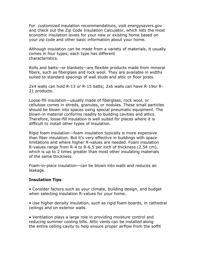For customized insulation recommendations, visit energysavers.gov and check out the Zip Code Insulation Calculator, which lists the most economic insulation levels for your new or existing home based on your zip code and other basic information about your home.

Although insulation can be made from a variety of materials, it usually comes in four types; each type has different characteristics.

Rolls and batts—or blankets—are flexible products made from mineral fibers, such as fiberglass and rock wool. They are available in widths suited to standard spacings of wall studs and attic or floor joists.

2x4 walls can hold R-13 or R-15 batts; 2x6 walls can have R-19or R-21 products.

Loose-fill insulation—usually made of fiberglass, rock wool, or cellulose comes in shreds, granules, or nodules. These small particles should be blown into spaces using special pneumatic equipment. The blown-in material conforms readily to building cavities and attics. Therefore, loose-fill insulation is well suited for places where it is difficult to install other types of insulation.

Rigid foam insulation—foam insulation typically is more expensive than fiber insulation. But it's very effective in buildings with space limitations and where higher R-values are needed. Foam insulation R-values range from R-4 to R-6.5 per inch of thickness (2.54 cm), which is up to 2 times greater than most other insulating materials of the same thickness.

Foam-in-place insulation—can be blown into walls and reduces air leakage.

## **Insulation Tips**

• Consider factors such as your climate, building design, and budget when selecting insulation R-values for your home.

• Use higher density insulation, such as rigid foam boards, in cathedral ceilings and on exterior walls.

• Ventilation plays a large role in providing moisture control and reducing summer cooling bills. Attic vents can be installed along the entire ceiling cavity to help ensure proper airflow from the soffit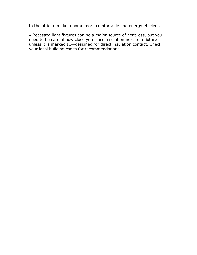to the attic to make a home more comfortable and energy efficient.

• Recessed light fixtures can be a major source of heat loss, but you need to be careful how close you place insulation next to a fixture unless it is marked IC—designed for direct insulation contact. Check your local building codes for recommendations.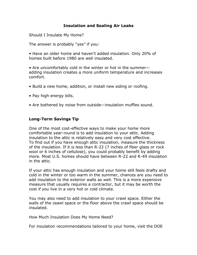## **Insulation and Sealing Air Leaks**

Should I Insulate My Home?

The answer is probably "yes" if you:

• Have an older home and haven't added insulation. Only 20% of homes built before 1980 are well insulated.

• Are uncomfortably cold in the winter or hot in the summer adding insulation creates a more uniform temperature and increases comfort.

- Build a new home, addition, or install new siding or roofing.
- Pay high energy bills.
- Are bothered by noise from outside—insulation muffles sound.

## **Long-Term Savings Tip**

One of the most cost-effective ways to make your home more comfortable year-round is to add insulation to your attic. Adding insulation to the attic is relatively easy and very cost effective. To find out if you have enough attic insulation, measure the thickness of the insulation. If it is less than R-22 (7 inches of fiber glass or rock wool or 6 inches of cellulose), you could probably benefit by adding more. Most U.S. homes should have between R-22 and R-49 insulation in the attic.

If your attic has enough insulation and your home still feels drafty and cold in the winter or too warm in the summer, chances are you need to add insulation to the exterior walls as well. This is a more expensive measure that usually requires a contractor, but it may be worth the cost if you live in a very hot or cold climate.

You may also need to add insulation to your crawl space. Either the walls of the ceawl space or the floor above the crawl space should be insulated.

How Much Insulation Does My Home Need?

For insulation recommendations tailored to your home, visit the DOE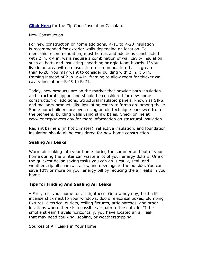**Click Here** for the Zip Code Insulation Calculator

#### New Construction

For new construction or home additions, R-11 to R-28 insulation is recommended for exterior walls depending on location. To meet this recommendation, most homes and additions constructed with 2 in. x 4 in. walls require a combination of wall cavity insulation, such as batts and insulating sheathing or rigid foam boards. If you live in an area with an insulation recommendation that is greater than R-20, you may want to consider building with 2 in. x 6 in. framing instead of 2 in. x 4 in. framing to allow room for thicker wall cavity insulation—R-19 to R-21.

Today, new products are on the market that provide both insulation and structural support and should be considered for new home construction or additions. Structural insulated panels, known as SIPS, and masonry products like insulating concrete forms are among these. Some homebuilders are even using an old technique borrowed from the pioneers, building walls using straw bales. Check online at www.energysavers.gov for more information on structural insulation.

Radiant barriers (in hot climates), reflective insulation, and foundation insulation should all be considered for new home construction.

## **Sealing Air Leaks**

Warm air leaking into your home during the summer and out of your home during the winter can waste a lot of your energy dollars. One of the quickest dollar-saving tasks you can do is caulk, seal, and weatherstrip all seams, cracks, and openings to the outside. You can save 10% or more on your energy bill by reducing the air leaks in your home.

## **Tips for Finding And Sealing Air Leaks**

• First, test your home for air tightness. On a windy day, hold a lit incense stick next to your windows, doors, electrical boxes, plumbing fixtures, electrical outlets, ceiling fixtures, attic hatches, and other locations where there is a possible air path to the outside. If the smoke stream travels horizontally, you have located an air leak that may need caulking, sealing, or weatherstripping.

Sources of Air Leaks in Your Home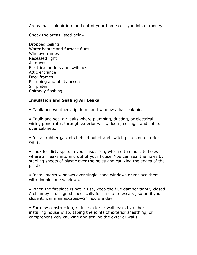Areas that leak air into and out of your home cost you lots of money.

Check the areas listed below.

Dropped ceiling Water heater and furnace flues Window frames Recessed light All ducts Electrical outlets and switches Attic entrance Door frames Plumbing and utility access Sill plates Chimney flashing

## **Insulation and Sealing Air Leaks**

• Caulk and weatherstrip doors and windows that leak air.

• Caulk and seal air leaks where plumbing, ducting, or electrical wiring penetrates through exterior walls, floors, ceilings, and soffits over cabinets.

• Install rubber gaskets behind outlet and switch plates on exterior walls.

• Look for dirty spots in your insulation, which often indicate holes where air leaks into and out of your house. You can seal the holes by stapling sheets of plastic over the holes and caulking the edges of the plastic.

• Install storm windows over single-pane windows or replace them with doublepane windows.

• When the fireplace is not in use, keep the flue damper tightly closed. A chimney is designed specifically for smoke to escape, so until you close it, warm air escapes—24 hours a day!

• For new construction, reduce exterior wall leaks by either installing house wrap, taping the joints of exterior sheathing, or comprehensively caulking and sealing the exterior walls.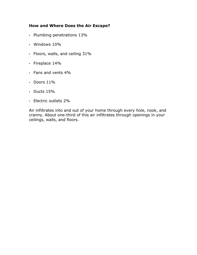## **How and Where Does the Air Escape?**

- Plumbing penetrations 13%
- Windows 10%
- Floors, walls, and ceiling 31%
- Fireplace 14%
- Fans and vents 4%
- Doors 11%
- Ducts 15%
- Electric outlets 2%

Air infiltrates into and out of your home through every hole, nook, and cranny. About one-third of this air infiltrates through openings in your ceilings, walls, and floors.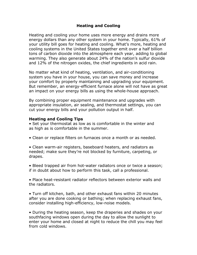#### **Heating and Cooling**

Heating and cooling your home uses more energy and drains more energy dollars than any other system in your home. Typically, 61% of your utility bill goes for heating and cooling. What's more, heating and cooling systems in the United States together emit over a half billion tons of carbon dioxide into the atmosphere each year, adding to global warming. They also generate about 24% of the nation's sulfur dioxide and 12% of the nitrogen oxides, the chief ingredients in acid rain.

No matter what kind of heating, ventilation, and air-conditioning system you have in your house, you can save money and increase your comfort by properly maintaining and upgrading your equipment. But remember, an energy-efficient furnace alone will not have as great an impact on your energy bills as using the whole-house approach.

By combining proper equipment maintenance and upgrades with appropriate insulation, air sealing, and thermostat settings, you can cut your energy bills and your pollution output in half.

#### **Heating and Cooling Tips**

• Set your thermostat as low as is comfortable in the winter and as high as is comfortable in the summer.

- Clean or replace filters on furnaces once a month or as needed.
- Clean warm-air registers, baseboard heaters, and radiators as needed; make sure they're not blocked by furniture, carpeting, or drapes.
- Bleed trapped air from hot-water radiators once or twice a season; if in doubt about how to perform this task, call a professional.

• Place heat-resistant radiator reflectors between exterior walls and the radiators.

• Turn off kitchen, bath, and other exhaust fans within 20 minutes after you are done cooking or bathing; when replacing exhaust fans, consider installing high-efficiency, low-noise models.

• During the heating season, keep the draperies and shades on your southfacing windows open during the day to allow the sunlight to enter your home and closed at night to reduce the chill you may feel from cold windows.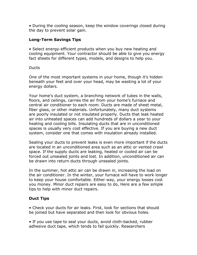• During the cooling season, keep the window coverings closed during the day to prevent solar gain.

## **Long-Term Savings Tips**

• Select energy-efficient products when you buy new heating and cooling equipment. Your contractor should be able to give you energy fact sheets for different types, models, and designs to help you.

#### **Ducts**

One of the most important systems in your home, though it's hidden beneath your feet and over your head, may be wasting a lot of your energy dollars.

Your home's duct system, a branching network of tubes in the walls, floors, and ceilings, carries the air from your home's furnace and central air conditioner to each room. Ducts are made of sheet metal, fiber glass, or other materials. Unfortunately, many duct systems are poorly insulated or not insulated properly. Ducts that leak heated air into unheated spaces can add hundreds of dollars a year to your heating and cooling bills. Insulating ducts that are in unconditioned spaces is usually very cost effective. If you are buying a new duct system, consider one that comes with insulation already installed.

Sealing your ducts to prevent leaks is even more important if the ducts are located in an unconditioned area such as an attic or vented crawl space. If the supply ducts are leaking, heated or cooled air can be forced out unsealed joints and lost. In addition, unconditioned air can be drawn into return ducts through unsealed joints.

In the summer, hot attic air can be drawn in, increasing the load on the air conditioner. In the winter, your furnace will have to work longer to keep your house comfortable. Either way, your energy losses cost you money. Minor duct repairs are easy to do, Here are a few simple tips to help with minor duct repairs.

## **Duct Tips**

• Check your ducts for air leaks. First, look for sections that should be joined but have separated and then look for obvious holes.

• If you use tape to seal your ducts, avoid cloth-backed, rubber adhesive duct tape, which tends to fail quickly. Researchers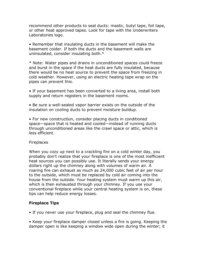recommend other products to seal ducts: mastic, butyl tape, foil tape, or other heat approved tapes. Look for tape with the Underwriters Laboratories logo.

• Remember that insulating ducts in the basement will make the basement colder. If both the ducts and the basement walls are uninsulated, consider insulating both.\*

\* Note: Water pipes and drains in unconditioned spaces could freeze and burst in the space if the heat ducts are fully insulated, because there would be no heat source to prevent the space from freezing in cold weather. However, using an electric heating tape wrap on the pipes can prevent this.

- If your basement has been converted to a living area, install both supply and return registers in the basement rooms.
- Be sure a well-sealed vapor barrier exists on the outside of the insulation on cooling ducts to prevent moisture buildup.

• For new construction, consider placing ducts in conditioned space—space that is heated and cooled—instead of running ducts through unconditioned areas like the crawl space or attic, which is less efficient.

#### **Fireplaces**

When you cozy up next to a crackling fire on a cold winter day, you probably don't realize that your fireplace is one of the most inefficient heat sources you can possibly use. It literally sends your energy dollars right up the chimney along with volumes of warm air. A roaring fire can exhaust as much as 24,000 cubic feet of air per hour to the outside, which must be replaced by cold air coming into the house from the outside. Your heating system must warm up this air, which is then exhausted through your chimney. If you use your conventional fireplace while your central heating system is on, these tips can help reduce energy losses.

## **Fireplace Tips**

• If you never use your fireplace, plug and seal the chimney flue.

• Keep your fireplace damper closed unless a fire is going. Keeping the damper open is like keeping a window wide open during the winter; it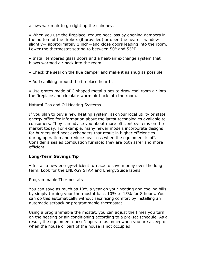allows warm air to go right up the chimney.

• When you use the fireplace, reduce heat loss by opening dampers in the bottom of the firebox (if provided) or open the nearest window slightly— approximately 1 inch—and close doors leading into the room. Lower the thermostat setting to between 50° and 55°F.

• Install tempered glass doors and a heat-air exchange system that blows warmed air back into the room.

- Check the seal on the flue damper and make it as snug as possible.
- Add caulking around the fireplace hearth.

• Use grates made of C-shaped metal tubes to draw cool room air into the fireplace and circulate warm air back into the room.

Natural Gas and Oil Heating Systems

If you plan to buy a new heating system, ask your local utility or state energy office for information about the latest technologies available to consumers. They can advise you about more efficient systems on the market today. For example, many newer models incorporate designs for burners and heat exchangers that result in higher efficiencies during operation and reduce heat loss when the equipment is off. Consider a sealed combustion furnace; they are both safer and more efficient.

## **Long-Term Savings Tip**

• Install a new energy-efficient furnace to save money over the long term. Look for the ENERGY STAR and EnergyGuide labels.

Programmable Thermostats

You can save as much as 10% a year on your heating and cooling bills by simply turning your thermostat back 10% to 15% for 8 hours. You can do this automatically without sacrificing comfort by installing an automatic setback or programmable thermostat.

Using a programmable thermostat, you can adjust the times you turn on the heating or air-conditioning according to a pre-set schedule. As a result, the equipment doesn't operate as much when you are asleep or when the house or part of the house is not occupied.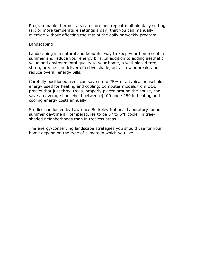Programmable thermostats can store and repeat multiple daily settings (six or more temperature settings a day) that you can manually override without affecting the rest of the daily or weekly program.

#### Landscaping

Landscaping is a natural and beautiful way to keep your home cool in summer and reduce your energy bills. In addition to adding aesthetic value and environmental quality to your home, a well-placed tree, shrub, or vine can deliver effective shade, act as a windbreak, and reduce overall energy bills.

Carefully positioned trees can save up to 25% of a typical household's energy used for heating and cooling. Computer models from DOE predict that just three trees, properly placed around the house, can save an average household between \$100 and \$250 in heating and cooling energy costs annually.

Studies conducted by Lawrence Berkeley National Laboratory found summer daytime air temperatures to be 3° to 6°F cooler in treeshaded neighborhoods than in treeless areas.

The energy-conserving landscape strategies you should use for your home depend on the type of climate in which you live.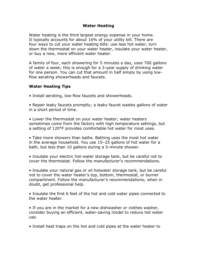### **Water Heating**

Water heating is the third largest energy expense in your home. It typically accounts for about 16% of your utility bill. There are four ways to cut your water heating bills: use less hot water, turn down the thermostat on your water heater, insulate your water heater, or buy a new, more efficient water heater.

A family of four, each showering for 5 minutes a day, uses 700 gallons of water a week; this is enough for a 3-year supply of drinking water for one person. You can cut that amount in half simply by using lowflow aerating showerheads and faucets.

## **Water Heating Tips**

• Install aerating, low-flow faucets and showerheads.

• Repair leaky faucets promptly; a leaky faucet wastes gallons of water in a short period of time.

• Lower the thermostat on your water heater; water heaters sometimes come from the factory with high temperature settings, but a setting of 120°F provides comfortable hot water for most uses.

• Take more showers than baths. Bathing uses the most hot water in the average household. You use 15–25 gallons of hot water for a bath, but less than 10 gallons during a 5-minute shower.

• Insulate your electric hot-water storage tank, but be careful not to cover the thermostat. Follow the manufacturer's recommendations.

• Insulate your natural gas or oil hotwater storage tank, but be careful not to cover the water heater's top, bottom, thermostat, or burner compartment. Follow the manufacturer's recommendations; when in doubt, get professional help.

• Insulate the first 6 feet of the hot and cold water pipes connected to the water heater.

• If you are in the market for a new dishwasher or clothes washer, consider buying an efficient, water-saving model to reduce hot water use.

• Install heat traps on the hot and cold pipes at the water heater to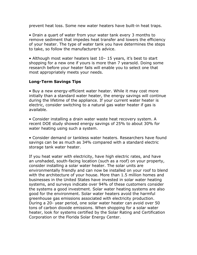prevent heat loss. Some new water heaters have built-in heat traps.

• Drain a quart of water from your water tank every 3 months to remove sediment that impedes heat transfer and lowers the efficiency of your heater. The type of water tank you have determines the steps to take, so follow the manufacturer's advice.

• Although most water heaters last 10– 15 years, it's best to start shopping for a new one if yours is more than 7 yearsold. Doing some research before your heater fails will enable you to select one that most appropriately meets your needs.

## **Long-Term Savings Tips**

• Buy a new energy-efficient water heater. While it may cost more initially than a standard water heater, the energy savings will continue during the lifetime of the appliance. If your current water heater is electric, consider switching to a natural gas water heater if gas is available.

• Consider installing a drain water waste heat recovery system. A recent DOE study showed energy savings of 25% to about 30% for water heating using such a system.

• Consider demand or tankless water heaters. Researchers have found savings can be as much as 34% compared with a standard electric storage tank water heater.

If you heat water with electricity, have high electric rates, and have an unshaded, south-facing location (such as a roof) on your property, consider installing a solar water heater. The solar units are environmentally friendly and can now be installed on your roof to blend with the architecture of your house. More than 1.5 million homes and businesses in the United States have invested in solar water heating systems, and surveys indicate over 94% of these customers consider the systems a good investment. Solar water heating systems are also good for the environment. Solar water heaters avoid the harmful greenhouse gas emissions associated with electricity production. During a 20- year period, one solar water heater can avoid over 50 tons of carbon dioxide emissions. When shopping for a solar water heater, look for systems certified by the Solar Rating and Certification Corporation or the Florida Solar Energy Center.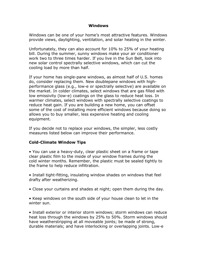#### **Windows**

Windows can be one of your home's most attractive features. Windows provide views, daylighting, ventilation, and solar heating in the winter.

Unfortunately, they can also account for 10% to 25% of your heating bill. During the summer, sunny windows make your air conditioner work two to three times harder. If you live in the Sun Belt, look into new solar control spectrally selective windows, which can cut the cooling load by more than half.

If your home has single-pane windows, as almost half of U.S. homes do, consider replacing them. New doublepane windows with highperformance glass (e.g., low-e or spectrally selective) are available on the market. In colder climates, select windows that are gas filled with low emissivity (low-e) coatings on the glass to reduce heat loss. In warmer climates, select windows with spectrally selective coatings to reduce heat gain. If you are building a new home, you can offset some of the cost of installing more efficient windows because doing so allows you to buy smaller, less expensive heating and cooling equipment.

If you decide not to replace your windows, the simpler, less costly measures listed below can improve their performance.

## **Cold-Climate Window Tips**

• You can use a heavy-duty, clear plastic sheet on a frame or tape clear plastic film to the inside of your window frames during the cold winter months. Remember, the plastic must be sealed tightly to the frame to help reduce infiltration.

• Install tight-fitting, insulating window shades on windows that feel drafty after weatherizing.

• Close your curtains and shades at night; open them during the day.

• Keep windows on the south side of your house clean to let in the winter sun.

• Install exterior or interior storm windows; storm windows can reduce heat loss through the windows by 25% to 50%. Storm windows should have weatherstripping at all moveable joints; be made of strong, durable materials; and have interlocking or overlapping joints. Low-e